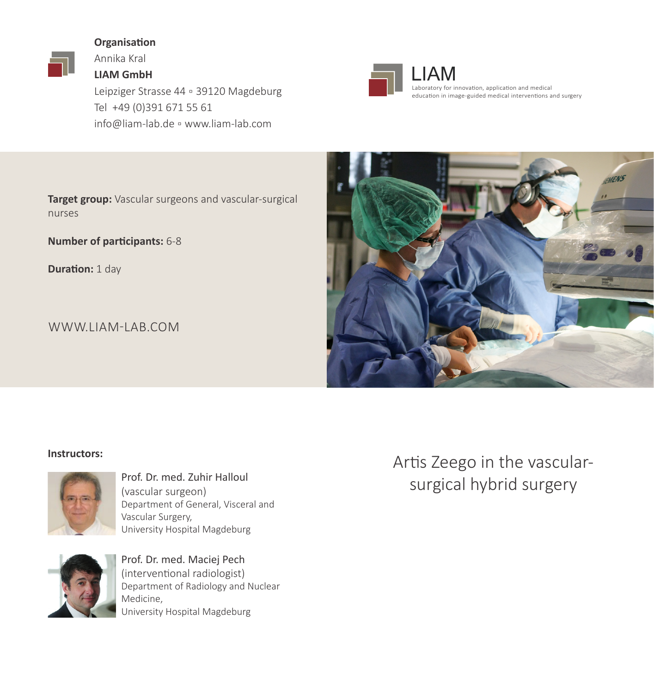### **Organisation**

Annika Kral

**LIAM GmbH** Leipziger Strasse 44 ▫ 39120 Magdeburg Tel +49 (0)391 671 55 61 info@liam-lab.de ▫ www.liam-lab.com



 $\mathbf{R}$   $\mathbf{M}$  example and medical  $\mathbf{M}$ education in image-guided medical interventions and surgery

**Target group:** Vascular surgeons and vascular-surgical nurses

**Number of participants:** 6-8

**Duration: 1 day** 

WWW.LIAM-LAB.COM



#### **Instructors:**



(vascular surgeon) Department of General, Visceral and Vascular Surgery, University Hospital Magdeburg



Prof. Dr. med. Maciej Pech (interventional radiologist) Department of Radiology and Nuclear Medicine, University Hospital Magdeburg

Artis Zeego in the vascular-Prof. Dr. med. Zuhir Halloul<br>(vascular surgery Surgical hybrid surgery